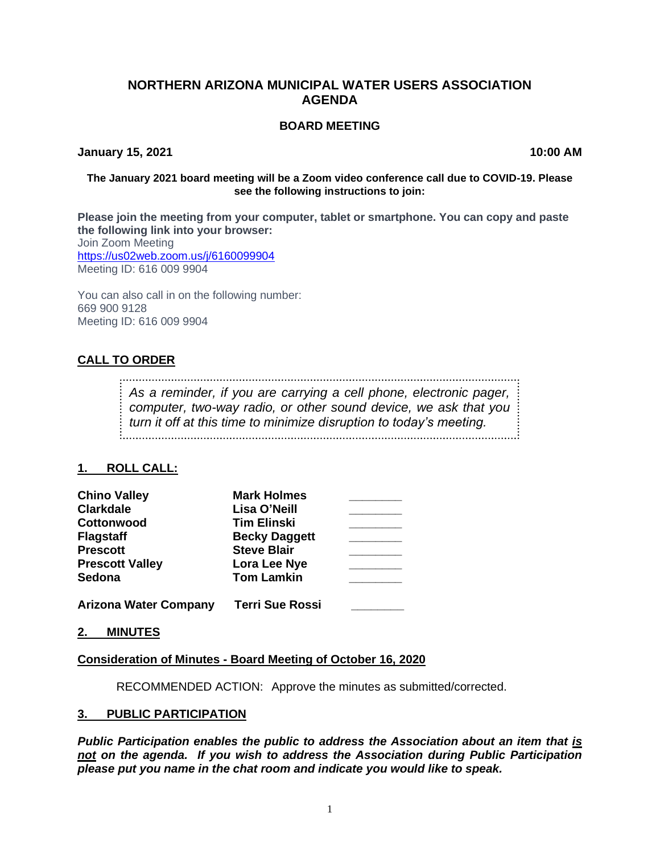## **NORTHERN ARIZONA MUNICIPAL WATER USERS ASSOCIATION AGENDA**

#### **BOARD MEETING**

**January 15, 2021 10:00 AM**

#### **The January 2021 board meeting will be a Zoom video conference call due to COVID-19. Please see the following instructions to join:**

**Please join the meeting from your computer, tablet or smartphone. You can copy and paste the following link into your browser:** Join Zoom Meeting <https://us02web.zoom.us/j/6160099904> Meeting ID: 616 009 9904

You can also call in on the following number: 669 900 9128 Meeting ID: 616 009 9904

# **CALL TO ORDER**

*As a reminder, if you are carrying a cell phone, electronic pager, computer, two-way radio, or other sound device, we ask that you turn it off at this time to minimize disruption to today's meeting.*

### **1. ROLL CALL:**

| <b>Chino Valley</b>          | <b>Mark Holmes</b>     |  |
|------------------------------|------------------------|--|
| <b>Clarkdale</b>             | Lisa O'Neill           |  |
| <b>Cottonwood</b>            | <b>Tim Elinski</b>     |  |
| <b>Flagstaff</b>             | <b>Becky Daggett</b>   |  |
| <b>Prescott</b>              | <b>Steve Blair</b>     |  |
| <b>Prescott Valley</b>       | Lora Lee Nye           |  |
| Sedona                       | <b>Tom Lamkin</b>      |  |
| <b>Arizona Water Company</b> | <b>Terri Sue Rossi</b> |  |

**2. MINUTES**

### **Consideration of Minutes - Board Meeting of October 16, 2020**

RECOMMENDED ACTION: Approve the minutes as submitted/corrected.

### **3. PUBLIC PARTICIPATION**

*Public Participation enables the public to address the Association about an item that is not on the agenda. If you wish to address the Association during Public Participation please put you name in the chat room and indicate you would like to speak.*